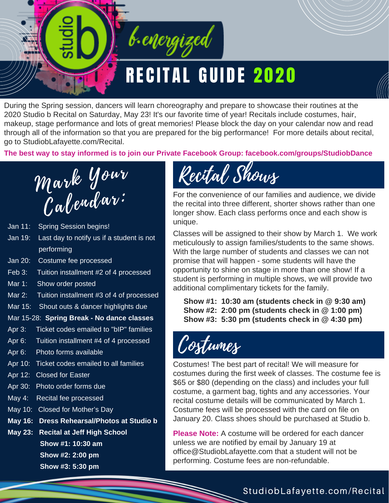

During the Spring session, dancers will learn choreography and prepare to showcase their routines at the 2020 Studio b Recital on Saturday, May 23! It's our favorite time of year! Recitals include costumes, hair, makeup, stage performance and lots of great memories! Please block the day on your calendar now and read through all of the information so that you are prepared for the big performance! For more details about recital, go to StudiobLafayette.com/Recital.

**The best way to stay informed is to join our Private Facebook Group: facebook.com/groups/StudiobDance**



- Jan 11: Spring Session begins!
- Jan 19: Last day to notify us if a student is not performing
- Jan 20: Costume fee processed
- Feb 3: Tuition installment #2 of 4 processed
- Mar 1: Show order posted
- Mar 2: Tuition installment #3 of 4 of processed
- Mar 15: Shout outs & dancer highlights due

#### Mar 15-28: **Spring Break - No dance classes**

- Apr 3: Ticket codes emailed to "bIP" families
- Apr 6: Tuition installment #4 of 4 processed
- Apr 6: Photo forms available
- Apr 10: Ticket codes emailed to all families
- Apr 12: Closed for Easter
- Apr 30: Photo order forms due
- May 4: Recital fee processed
- May 10: Closed for Mother's Day
- **May 16: Dress Rehearsal/Photos at Studio b**
- **May 23: Recital at Jeff High School**
	- **Show #1: 10:30 am**
	- **Show #2: 2:00 pm**

**Show #3: 5:30 pm**

## Recital Shows

For the convenience of our families and audience, we divide the recital into three different, shorter shows rather than one longer show. Each class performs once and each show is unique.

Classes will be assigned to their show by March 1. We work meticulously to assign families/students to the same shows. With the large number of students and classes we can not promise that will happen - some students will have the opportunity to shine on stage in more than one show! If a student is performing in multiple shows, we will provide two additional complimentary tickets for the family.

 **Show #1: 10:30 am (students check in @ 9:30 am) Show #2: 2:00 pm (students check in @ 1:00 pm) Show #3: 5:30 pm (students check in @ 4:30 pm)**

Costumes

Costumes! The best part of recital! We will measure for costumes during the first week of classes. The costume fee is \$65 or \$80 (depending on the class) and includes your full costume, a garment bag, tights and any accessories. Your recital costume details will be communicated by March 1. Costume fees will be processed with the card on file on January 20. Class shoes should be purchased at Studio b.

**Please Note:** A costume will be ordered for each dancer unless we are notified by email by January 19 at office@StudiobLafayette.com that a student will not be performing. Costume fees are non-refundable.